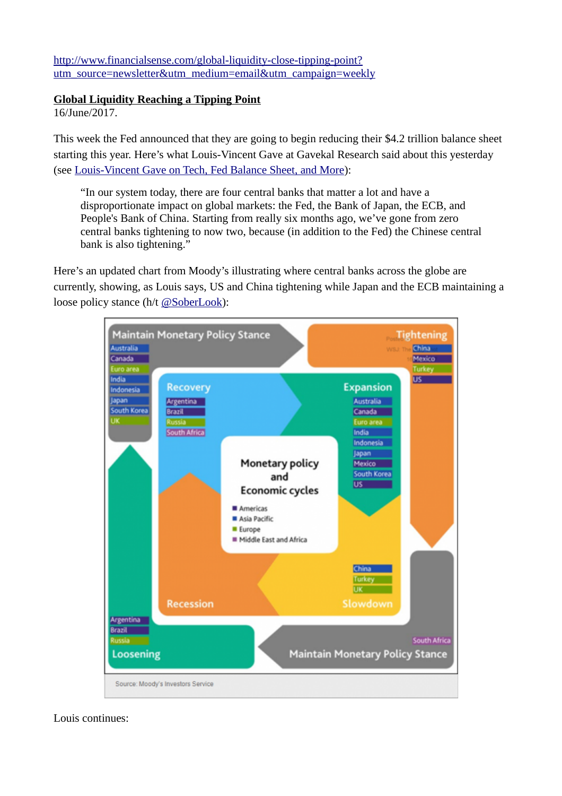[http://www.financialsense.com/global-liquidity-close-tipping-point?](http://www.financialsense.com/global-liquidity-close-tipping-point?utm_source=newsletter&utm_medium=email&utm_campaign=weekly) [utm\\_source=newsletter&utm\\_medium=email&utm\\_campaign=weekly](http://www.financialsense.com/global-liquidity-close-tipping-point?utm_source=newsletter&utm_medium=email&utm_campaign=weekly)

## **Global Liquidity Reaching a Tipping Point**

16/June/2017.

This week the Fed announced that they are going to begin reducing their \$4.2 trillion balance sheet starting this year. Here's what Louis-Vincent Gave at Gavekal Research said about this yesterday (see [Louis-Vincent Gave on Tech, Fed Balance Sheet, and More\)](http://www.financialsense.com/louis-vincent-gave/tech-fed-balance-sheet):

"In our system today, there are four central banks that matter a lot and have a disproportionate impact on global markets: the Fed, the Bank of Japan, the ECB, and People's Bank of China. Starting from really six months ago, we've gone from zero central banks tightening to now two, because (in addition to the Fed) the Chinese central bank is also tightening."

Here's an updated chart from Moody's illustrating where central banks across the globe are currently, showing, as Louis says, US and China tightening while Japan and the ECB maintaining a loose policy stance (h/t [@SoberLook\)](https://twitter.com/SoberLook):



Louis continues: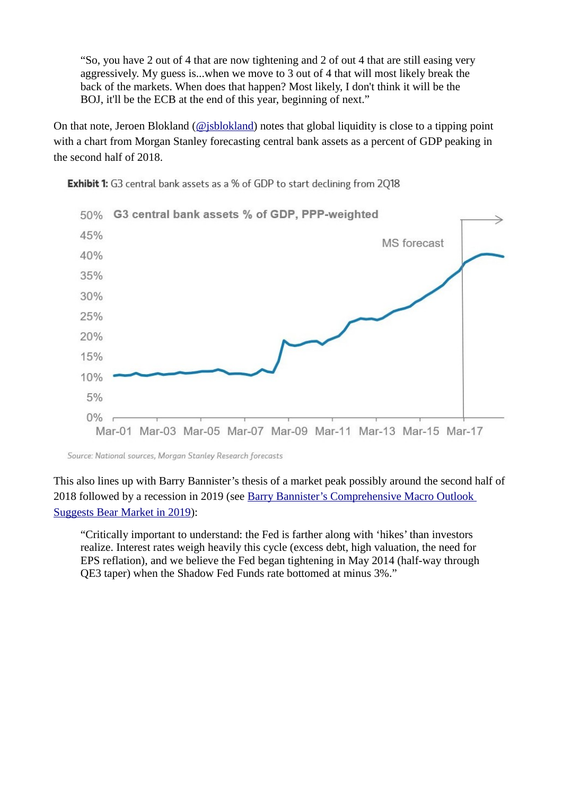"So, you have 2 out of 4 that are now tightening and 2 of out 4 that are still easing very aggressively. My guess is...when we move to 3 out of 4 that will most likely break the back of the markets. When does that happen? Most likely, I don't think it will be the BOJ, it'll be the ECB at the end of this year, beginning of next."

On that note, Jeroen Blokland ( $\omega$ isblokland) notes that global liquidity is close to a tipping point with a chart from Morgan Stanley forecasting central bank assets as a percent of GDP peaking in the second half of 2018.



**Exhibit 1:** G3 central bank assets as a % of GDP to start declining from 2018

Source: National sources, Morgan Stanley Research forecasts

This also lines up with Barry Bannister's thesis of a market peak possibly around the second half of 2018 followed by a recession in 2019 (see Barry Bannister's Comprehensive Macro Outlook [Suggests Bear Market in 2019\)](http://www.financialsense.com/barry-bannister/2018-stock-market-peak):

"Critically important to understand: the Fed is farther along with 'hikes' than investors realize. Interest rates weigh heavily this cycle (excess debt, high valuation, the need for EPS reflation), and we believe the Fed began tightening in May 2014 (half-way through QE3 taper) when the Shadow Fed Funds rate bottomed at minus 3%."